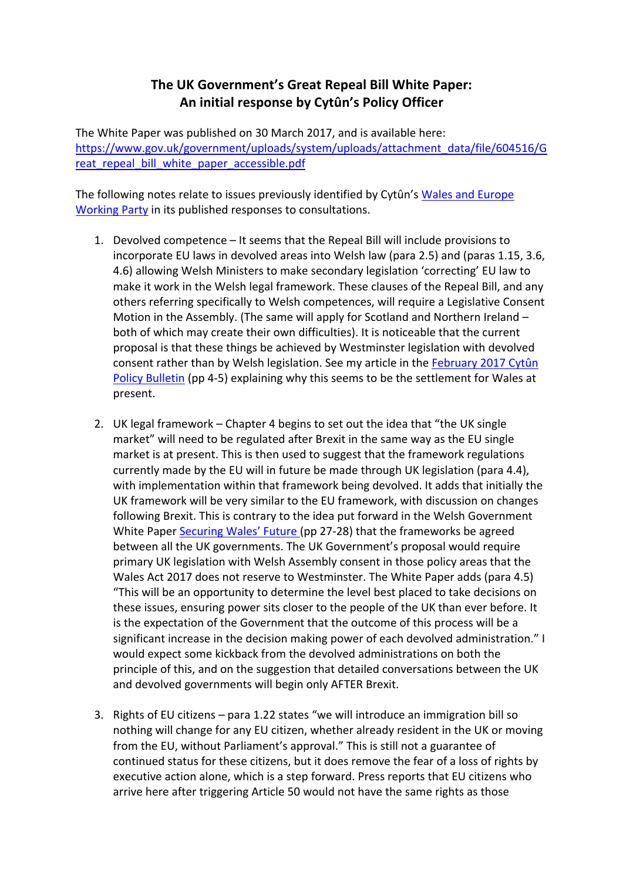## **The UK Government's Great Repeal Bill White Paper:** An initial response by Cytûn's Policy Officer

The White Paper was published on 30 March 2017, and is available here: https://www.gov.uk/government/uploads/system/uploads/attachment\_data/file/604516/G reat repeal bill white paper accessible.pdf

The following notes relate to issues previously identified by Cytûn's Wales and Europe Working Party in its published responses to consultations.

- 1. Devolved competence It seems that the Repeal Bill will include provisions to incorporate EU laws in devolved areas into Welsh law (para 2.5) and (paras 1.15, 3.6, 4.6) allowing Welsh Ministers to make secondary legislation 'correcting' EU law to make it work in the Welsh legal framework. These clauses of the Repeal Bill, and any others referring specifically to Welsh competences, will require a Legislative Consent Motion in the Assembly. (The same will apply for Scotland and Northern Ireland  $$ both of which may create their own difficulties). It is noticeable that the current proposal is that these things be achieved by Westminster legislation with devolved consent rather than by Welsh legislation. See my article in the February 2017 Cytûn Policy Bulletin (pp 4-5) explaining why this seems to be the settlement for Wales at present.
- 2. UK legal framework Chapter 4 begins to set out the idea that "the UK single market" will need to be regulated after Brexit in the same way as the EU single market is at present. This is then used to suggest that the framework regulations currently made by the EU will in future be made through UK legislation (para 4.4), with implementation within that framework being devolved. It adds that initially the UK framework will be very similar to the EU framework, with discussion on changes following Brexit. This is contrary to the idea put forward in the Welsh Government White Paper Securing Wales' Future (pp 27-28) that the frameworks be agreed between all the UK governments. The UK Government's proposal would require primary UK legislation with Welsh Assembly consent in those policy areas that the Wales Act 2017 does not reserve to Westminster. The White Paper adds (para 4.5) "This will be an opportunity to determine the level best placed to take decisions on these issues, ensuring power sits closer to the people of the UK than ever before. It is the expectation of the Government that the outcome of this process will be a significant increase in the decision making power of each devolved administration." I would expect some kickback from the devolved administrations on both the principle of this, and on the suggestion that detailed conversations between the UK and devolved governments will begin only AFTER Brexit.
- 3. Rights of EU citizens para 1.22 states "we will introduce an immigration bill so nothing will change for any EU citizen, whether already resident in the UK or moving from the EU, without Parliament's approval." This is still not a guarantee of continued status for these citizens, but it does remove the fear of a loss of rights by executive action alone, which is a step forward. Press reports that EU citizens who arrive here after triggering Article 50 would not have the same rights as those